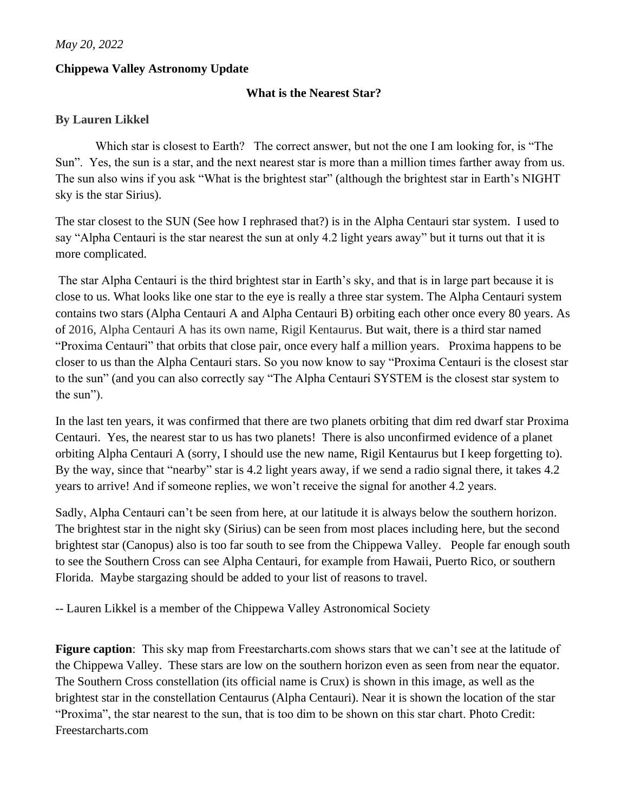## **Chippewa Valley Astronomy Update**

## **What is the Nearest Star?**

## **By Lauren Likkel**

Which star is closest to Earth? The correct answer, but not the one I am looking for, is "The Sun". Yes, the sun is a star, and the next nearest star is more than a million times farther away from us. The sun also wins if you ask "What is the brightest star" (although the brightest star in Earth's NIGHT sky is the star Sirius).

The star closest to the SUN (See how I rephrased that?) is in the Alpha Centauri star system. I used to say "Alpha Centauri is the star nearest the sun at only 4.2 light years away" but it turns out that it is more complicated.

The star Alpha Centauri is the third brightest star in Earth's sky, and that is in large part because it is close to us. What looks like one star to the eye is really a three star system. The Alpha Centauri system contains two stars (Alpha Centauri A and Alpha Centauri B) orbiting each other once every 80 years. As of 2016, Alpha Centauri A has its own name, Rigil Kentaurus. But wait, there is a third star named "Proxima Centauri" that orbits that close pair, once every half a million years. Proxima happens to be closer to us than the Alpha Centauri stars. So you now know to say "Proxima Centauri is the closest star to the sun" (and you can also correctly say "The Alpha Centauri SYSTEM is the closest star system to the sun").

In the last ten years, it was confirmed that there are two planets orbiting that dim red dwarf star Proxima Centauri. Yes, the nearest star to us has two planets! There is also unconfirmed evidence of a planet orbiting Alpha Centauri A (sorry, I should use the new name, Rigil Kentaurus but I keep forgetting to). By the way, since that "nearby" star is 4.2 light years away, if we send a radio signal there, it takes 4.2 years to arrive! And if someone replies, we won't receive the signal for another 4.2 years.

Sadly, Alpha Centauri can't be seen from here, at our latitude it is always below the southern horizon. The brightest star in the night sky (Sirius) can be seen from most places including here, but the second brightest star (Canopus) also is too far south to see from the Chippewa Valley. People far enough south to see the Southern Cross can see Alpha Centauri, for example from Hawaii, Puerto Rico, or southern Florida. Maybe stargazing should be added to your list of reasons to travel.

-- Lauren Likkel is a member of the Chippewa Valley Astronomical Society

**Figure caption**: This sky map from Freestarcharts.com shows stars that we can't see at the latitude of the Chippewa Valley. These stars are low on the southern horizon even as seen from near the equator. The Southern Cross constellation (its official name is Crux) is shown in this image, as well as the brightest star in the constellation Centaurus (Alpha Centauri). Near it is shown the location of the star "Proxima", the star nearest to the sun, that is too dim to be shown on this star chart. Photo Credit: Freestarcharts.com